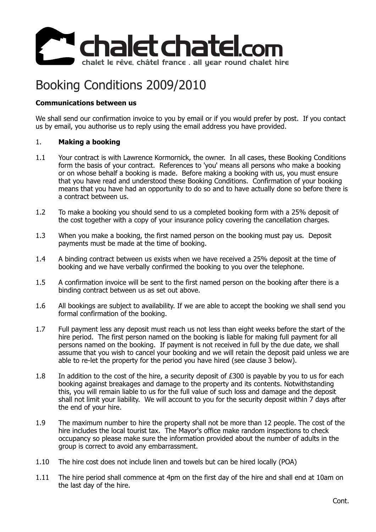

# Booking Conditions 2009/2010

## **Communications between us**

We shall send our confirmation invoice to you by email or if you would prefer by post. If you contact us by email, you authorise us to reply using the email address you have provided.

#### **Making a booking** 1.

- 1.1 Your contract is with Lawrence Kormornick, the owner. In all cases, these Booking Conditions form the basis of your contract. References to 'you' means all persons who make a booking or on whose behalf a booking is made. Before making a booking with us, you must ensure that you have read and understood these Booking Conditions. Confirmation of your booking means that you have had an opportunity to do so and to have actually done so before there is a contract between us.
- 1.2 To make a booking you should send to us a completed booking form with a 25% deposit of the cost together with a copy of your insurance policy covering the cancellation charges.
- 1.3 When you make a booking, the first named person on the booking must pay us. Deposit payments must be made at the time of booking.
- 1.4 A binding contract between us exists when we have received a 25% deposit at the time of booking and we have verbally confirmed the booking to you over the telephone.
- 1.5 A confirmation invoice will be sent to the first named person on the booking after there is a binding contract between us as set out above.
- 1.6 All bookings are subject to availability. If we are able to accept the booking we shall send you formal confirmation of the booking.
- 1.7 Full payment less any deposit must reach us not less than eight weeks before the start of the hire period. The first person named on the booking is liable for making full payment for all persons named on the booking. If payment is not received in full by the due date, we shall assume that you wish to cancel your booking and we will retain the deposit paid unless we are able to re-let the property for the period you have hired (see clause 3 below).
- 1.8 In addition to the cost of the hire, a security deposit of £300 is payable by you to us for each booking against breakages and damage to the property and its contents. Notwithstanding this, you will remain liable to us for the full value of such loss and damage and the deposit shall not limit your liability. We will account to you for the security deposit within 7 days after the end of your hire.
- 1.9 The maximum number to hire the property shall not be more than 12 people. The cost of the hire includes the local tourist tax. The Mayor's office make random inspections to check occupancy so please make sure the information provided about the number of adults in the group is correct to avoid any embarrassment.
- 1.10 The hire cost does not include linen and towels but can be hired locally (POA)
- 1.11 The hire period shall commence at 4pm on the first day of the hire and shall end at 10am on the last day of the hire.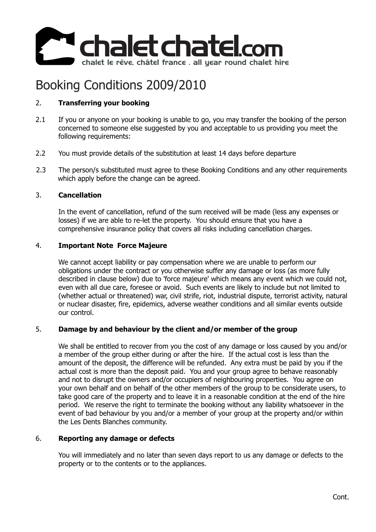

## Booking Conditions 2009/2010

#### 2. **Transferring your booking**

- 2.1 If you or anyone on your booking is unable to go, you may transfer the booking of the person concerned to someone else suggested by you and acceptable to us providing you meet the following requirements:
- 2.2 You must provide details of the substitution at least 14 days before departure
- 2.3 The person/s substituted must agree to these Booking Conditions and any other requirements which apply before the change can be agreed.

#### 3. **Cancellation**

In the event of cancellation, refund of the sum received will be made (less any expenses or losses) if we are able to re-let the property. You should ensure that you have a comprehensive insurance policy that covers all risks including cancellation charges.

#### 4. **Important Note Force Majeure**

We cannot accept liability or pay compensation where we are unable to perform our obligations under the contract or you otherwise suffer any damage or loss (as more fully described in clause below) due to 'force majeure' which means any event which we could not, even with all due care, foresee or avoid. Such events are likely to include but not limited to (whether actual or threatened) war, civil strife, riot, industrial dispute, terrorist activity, natural or nuclear disaster, fire, epidemics, adverse weather conditions and all similar events outside our control.

#### 5. **Damage by and behaviour by the client and/or member of the group**

We shall be entitled to recover from you the cost of any damage or loss caused by you and/or a member of the group either during or after the hire. If the actual cost is less than the amount of the deposit, the difference will be refunded. Any extra must be paid by you if the actual cost is more than the deposit paid. You and your group agree to behave reasonably and not to disrupt the owners and/or occupiers of neighbouring properties. You agree on your own behalf and on behalf of the other members of the group to be considerate users, to take good care of the property and to leave it in a reasonable condition at the end of the hire period. We reserve the right to terminate the booking without any liability whatsoever in the event of bad behaviour by you and/or a member of your group at the property and/or within the Les Dents Blanches community.

#### 6. **Reporting any damage or defects**

You will immediately and no later than seven days report to us any damage or defects to the property or to the contents or to the appliances.